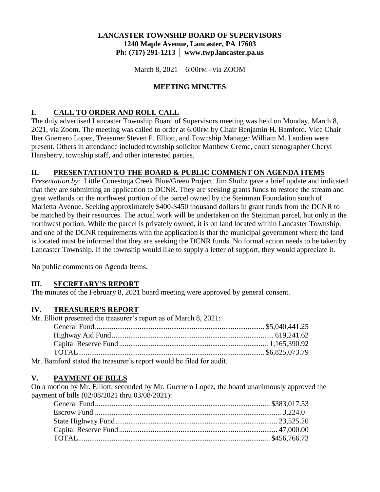## **LANCASTER TOWNSHIP BOARD OF SUPERVISORS 1240 Maple Avenue, Lancaster, PA 17603 Ph: (717) 291-1213 │ www.twp.lancaster.pa.us**

March 8, 2021 – 6:00PM - via ZOOM

## **MEETING MINUTES**

# **I. CALL TO ORDER AND ROLL CALL**

The duly advertised Lancaster Township Board of Supervisors meeting was held on Monday, March 8, 2021, via Zoom. The meeting was called to order at 6:00PM by Chair Benjamin H. Bamford. Vice Chair Iber Guerrero Lopez, Treasurer Steven P. Elliott, and Township Manager William M. Laudien were present. Others in attendance included township solicitor Matthew Creme, court stenographer Cheryl Hansberry, township staff, and other interested parties.

### **II. PRESENTATION TO THE BOARD & PUBLIC COMMENT ON AGENDA ITEMS**

*Presentation by*: Little Conestoga Creek Blue/Green Project. Jim Shultz gave a brief update and indicated that they are submitting an application to DCNR. They are seeking grants funds to restore the stream and great wetlands on the northwest portion of the parcel owned by the Steinman Foundation south of Marietta Avenue. Seeking approximately \$400-\$450 thousand dollars in grant funds from the DCNR to be matched by their resources. The actual work will be undertaken on the Steinman parcel, but only in the northwest portion. While the parcel is privately owned, it is on land located within Lancaster Township, and one of the DCNR requirements with the application is that the municipal government where the land is located must be informed that they are seeking the DCNR funds. No formal action needs to be taken by Lancaster Township. If the township would like to supply a letter of support, they would appreciate it.

No public comments on Agenda Items.

#### **III. SECRETARY'S REPORT**

The minutes of the February 8, 2021 board meeting were approved by general consent.

#### **IV. TREASURER'S REPORT**

Mr. Elliott presented the treasurer's report as of March 8, 2021:

| $\sim$ 0 1 $\pm$ 1 1 $\pm$ 1 $\pm$ 1 $\pm$ 1 $\pm$ 1 11 $\pm$ 01 1 $\pm$ 0 $\pm$ 1. |  |
|-------------------------------------------------------------------------------------|--|

Mr. Bamford stated the treasurer's report would be filed for audit.

#### **V. PAYMENT OF BILLS**

On a motion by Mr. Elliott, seconded by Mr. Guerrero Lopez, the board unanimously approved the payment of bills (02/08/2021 thru 03/08/2021):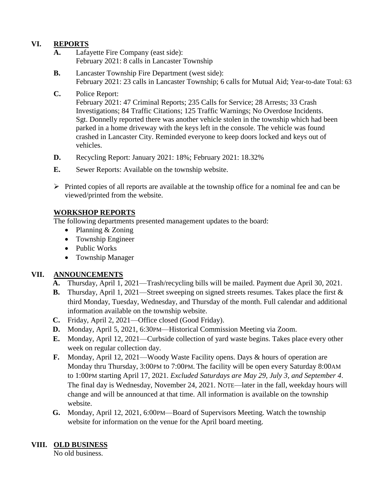# **VI. REPORTS**

- **A.** Lafayette Fire Company (east side): February 2021: 8 calls in Lancaster Township
- **B.** Lancaster Township Fire Department (west side): February 2021: 23 calls in Lancaster Township; 6 calls for Mutual Aid; Year-to-date Total: 63

#### **C.** Police Report:

February 2021: 47 Criminal Reports; 235 Calls for Service; 28 Arrests; 33 Crash Investigations; 84 Traffic Citations; 125 Traffic Warnings; No Overdose Incidents. Sgt. Donnelly reported there was another vehicle stolen in the township which had been parked in a home driveway with the keys left in the console. The vehicle was found crashed in Lancaster City. Reminded everyone to keep doors locked and keys out of vehicles.

- **D.** Recycling Report: January 2021: 18%; February 2021: 18.32%
- **E.** Sewer Reports: Available on the township website.
- $\triangleright$  Printed copies of all reports are available at the township office for a nominal fee and can be viewed/printed from the website.

## **WORKSHOP REPORTS**

The following departments presented management updates to the board:

- Planning & Zoning
- Township Engineer
- Public Works
- Township Manager

# **VII. ANNOUNCEMENTS**

- **A.** Thursday, April 1, 2021—Trash/recycling bills will be mailed. Payment due April 30, 2021.
- **B.** Thursday, April 1, 2021—Street sweeping on signed streets resumes. Takes place the first & third Monday, Tuesday, Wednesday, and Thursday of the month. Full calendar and additional information available on the township website.
- **C.** Friday, April 2, 2021—Office closed (Good Friday).
- **D.** Monday, April 5, 2021, 6:30 PM—Historical Commission Meeting via Zoom.
- **E.** Monday, April 12, 2021—Curbside collection of yard waste begins. Takes place every other week on regular collection day.
- **F.** Monday, April 12, 2021—Woody Waste Facility opens. Days & hours of operation are Monday thru Thursday, 3:00PM to 7:00PM. The facility will be open every Saturday 8:00AM to 1:00PM starting April 17, 2021. *Excluded Saturdays are May 29, July 3, and September 4*. The final day is Wednesday, November 24, 2021. NOTE—later in the fall, weekday hours will change and will be announced at that time. All information is available on the township website.
- **G.** Monday, April 12, 2021, 6:00PM—Board of Supervisors Meeting. Watch the township website for information on the venue for the April board meeting.

# **VIII. OLD BUSINESS**

No old business.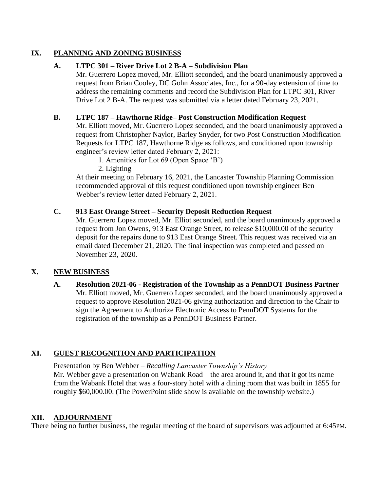## **IX. PLANNING AND ZONING BUSINESS**

## **A. LTPC 301 – River Drive Lot 2 B-A – Subdivision Plan**

Mr. Guerrero Lopez moved, Mr. Elliott seconded, and the board unanimously approved a request from Brian Cooley, DC Gohn Associates, Inc., for a 90-day extension of time to address the remaining comments and record the Subdivision Plan for LTPC 301, River Drive Lot 2 B-A. The request was submitted via a letter dated February 23, 2021.

## **B. LTPC 187 – Hawthorne Ridge– Post Construction Modification Request**

Mr. Elliott moved, Mr. Guerrero Lopez seconded, and the board unanimously approved a request from Christopher Naylor, Barley Snyder, for two Post Construction Modification Requests for LTPC 187, Hawthorne Ridge as follows, and conditioned upon township engineer's review letter dated February 2, 2021:

1. Amenities for Lot 69 (Open Space 'B')

2. Lighting

At their meeting on February 16, 2021, the Lancaster Township Planning Commission recommended approval of this request conditioned upon township engineer Ben Webber's review letter dated February 2, 2021.

### **C. 913 East Orange Street – Security Deposit Reduction Request**

Mr. Guerrero Lopez moved, Mr. Elliot seconded, and the board unanimously approved a request from Jon Owens, 913 East Orange Street, to release \$10,000.00 of the security deposit for the repairs done to 913 East Orange Street. This request was received via an email dated December 21, 2020. The final inspection was completed and passed on November 23, 2020.

## **X. NEW BUSINESS**

### **A. Resolution 2021-06 - Registration of the Township as a PennDOT Business Partner** Mr. Elliott moved, Mr. Guerrero Lopez seconded, and the board unanimously approved a request to approve Resolution 2021-06 giving authorization and direction to the Chair to sign the Agreement to Authorize Electronic Access to PennDOT Systems for the registration of the township as a PennDOT Business Partner.

# **XI. GUEST RECOGNITION AND PARTICIPATION**

Presentation by Ben Webber – *Recalling Lancaster Township's History* Mr. Webber gave a presentation on Wabank Road—the area around it, and that it got its name from the Wabank Hotel that was a four-story hotel with a dining room that was built in 1855 for roughly \$60,000.00. (The PowerPoint slide show is available on the township website.)

## **XII. ADJOURNMENT**

There being no further business, the regular meeting of the board of supervisors was adjourned at 6:45PM.